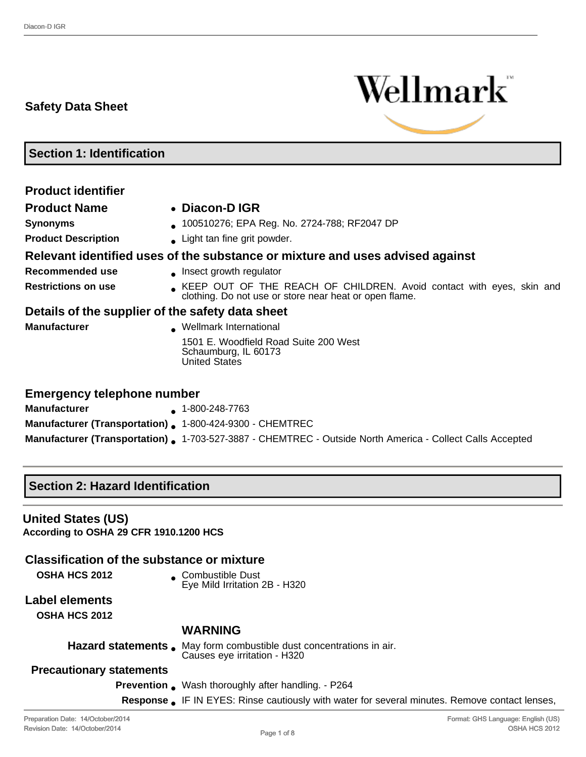## **Safety Data Sheet**



**Section 1: Identification**

| <b>Product identifier</b>                        |                                                                                                                                |
|--------------------------------------------------|--------------------------------------------------------------------------------------------------------------------------------|
| <b>Product Name</b>                              | • Diacon-D IGR                                                                                                                 |
| <b>Synonyms</b>                                  | 100510276; EPA Reg. No. 2724-788; RF2047 DP                                                                                    |
| <b>Product Description</b>                       | • Light tan fine grit powder.                                                                                                  |
|                                                  | Relevant identified uses of the substance or mixture and uses advised against                                                  |
| Recommended use                                  | • Insect growth regulator                                                                                                      |
| <b>Restrictions on use</b>                       | KEEP OUT OF THE REACH OF CHILDREN. Avoid contact with eyes, skin and<br>clothing. Do not use or store near heat or open flame. |
| Details of the supplier of the safety data sheet |                                                                                                                                |
| <b>Manufacturer</b>                              | Wellmark International                                                                                                         |
|                                                  | 1501 E. Woodfield Road Suite 200 West<br>Schaumburg, IL 60173<br><b>United States</b>                                          |
| <b>Emergency telephone number</b>                |                                                                                                                                |

| <b>Manufacturer</b>                                             | $\bullet$ 1-800-248-7763                                                                                         |
|-----------------------------------------------------------------|------------------------------------------------------------------------------------------------------------------|
| <b>Manufacturer (Transportation).</b> 1-800-424-9300 - CHEMTREC |                                                                                                                  |
|                                                                 | <b>Manufacturer (Transportation).</b> 1-703-527-3887 - CHEMTREC - Outside North America - Collect Calls Accepted |

## **Section 2: Hazard Identification**

## **United States (US)**

**According to OSHA 29 CFR 1910.1200 HCS**

## **Classification of the substance or mixture**

**OSHA HCS 2012** • Combustible Dust Eye Mild Irritation 2B - H320

# **Label elements**

**OSHA HCS 2012**

#### **WARNING**

Hazard statements . May form combustible dust concentrations in air. Causes eye irritation - H320

- **Precautionary statements**
	- **Prevention** . Wash thoroughly after handling. P264
	- **Response** IF IN EYES: Rinse cautiously with water for several minutes. Remove contact lenses,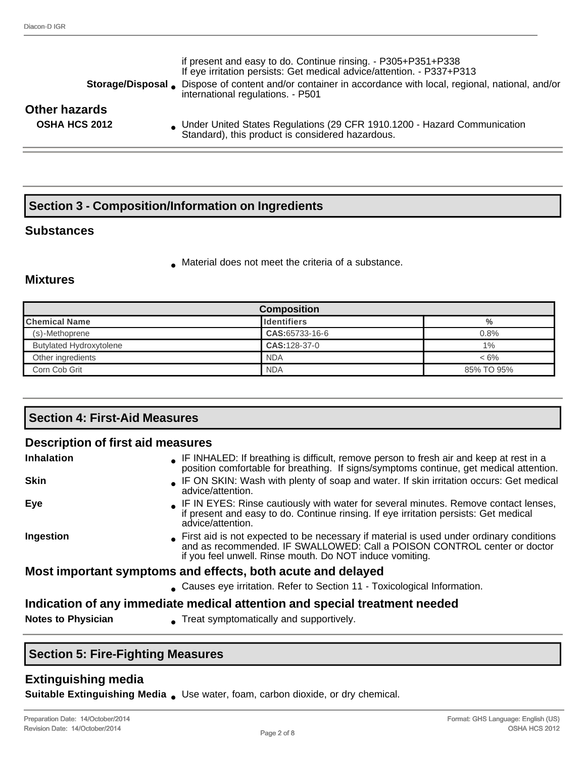| <b>Storage/Disposal</b> .                    | if present and easy to do. Continue rinsing. - P305+P351+P338<br>If eye irritation persists: Get medical advice/attention. - P337+P313<br>Dispose of content and/or container in accordance with local, regional, national, and/or<br>international regulations. - P501 |  |  |  |
|----------------------------------------------|-------------------------------------------------------------------------------------------------------------------------------------------------------------------------------------------------------------------------------------------------------------------------|--|--|--|
| <b>Other hazards</b><br><b>OSHA HCS 2012</b> | • Under United States Regulations (29 CFR 1910.1200 - Hazard Communication<br>Standard), this product is considered hazardous.                                                                                                                                          |  |  |  |
|                                              |                                                                                                                                                                                                                                                                         |  |  |  |

# **Section 3 - Composition/Information on Ingredients**

## **Substances**

● Material does not meet the criteria of a substance.

## **Mixtures**

| <b>Composition</b>             |                    |            |
|--------------------------------|--------------------|------------|
| <b>Chemical Name</b>           | <b>Identifiers</b> | %          |
| (s)-Methoprene                 | CAS:65733-16-6     | 0.8%       |
| <b>Butylated Hydroxytolene</b> | CAS: 128-37-0      | 1%         |
| Other ingredients              | <b>NDA</b>         | $< 6\%$    |
| Corn Cob Grit                  | <b>NDA</b>         | 85% TO 95% |

| <b>Section 4: First-Aid Measures</b>     |                                                                                                                                                                                                                                 |  |
|------------------------------------------|---------------------------------------------------------------------------------------------------------------------------------------------------------------------------------------------------------------------------------|--|
| <b>Description of first aid measures</b> |                                                                                                                                                                                                                                 |  |
| <b>Inhalation</b>                        | • IF INHALED: If breathing is difficult, remove person to fresh air and keep at rest in a<br>position comfortable for breathing. If signs/symptoms continue, get medical attention.                                             |  |
| <b>Skin</b>                              | • IF ON SKIN: Wash with plenty of soap and water. If skin irritation occurs: Get medical<br>advice/attention.                                                                                                                   |  |
| Eye                                      | . IF IN EYES: Rinse cautiously with water for several minutes. Remove contact lenses,<br>if present and easy to do. Continue rinsing. If eye irritation persists: Get medical<br>advice/attention.                              |  |
| Ingestion                                | First aid is not expected to be necessary if material is used under ordinary conditions<br>and as recommended. IF SWALLOWED: Call a POISON CONTROL center or doctor<br>if you feel unwell. Rinse mouth. Do NOT induce vomiting. |  |
|                                          | Most important symptoms and effects, both acute and delayed                                                                                                                                                                     |  |
|                                          | • Causes eye irritation. Refer to Section 11 - Toxicological Information.                                                                                                                                                       |  |
| <b>Notes to Physician</b>                | Indication of any immediate medical attention and special treatment needed<br>• Treat symptomatically and supportively.                                                                                                         |  |

# **Section 5: Fire-Fighting Measures**

## **Extinguishing media**

**Suitable Extinguishing Media .** Use water, foam, carbon dioxide, or dry chemical.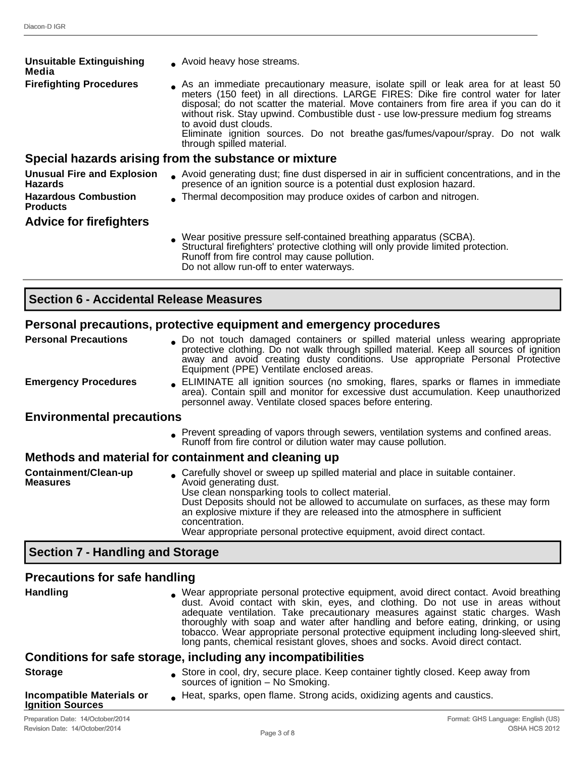| <b>Unsuitable Extinguishing</b><br>Media            | • Avoid heavy hose streams.                                                                                                                                                                                                                                                                                                                                                                                                                                                                     |
|-----------------------------------------------------|-------------------------------------------------------------------------------------------------------------------------------------------------------------------------------------------------------------------------------------------------------------------------------------------------------------------------------------------------------------------------------------------------------------------------------------------------------------------------------------------------|
| <b>Firefighting Procedures</b>                      | As an immediate precautionary measure, isolate spill or leak area for at least 50<br>meters (150 feet) in all directions. LARGE FIRES: Dike fire control water for later<br>disposal; do not scatter the material. Move containers from fire area if you can do it<br>without risk. Stay upwind. Combustible dust - use low-pressure medium fog streams<br>to avoid dust clouds.<br>Eliminate ignition sources. Do not breathe gas/fumes/vapour/spray. Do not walk<br>through spilled material. |
|                                                     | Special hazards arising from the substance or mixture                                                                                                                                                                                                                                                                                                                                                                                                                                           |
| <b>Unusual Fire and Explosion</b><br><b>Hazards</b> | Avoid generating dust; fine dust dispersed in air in sufficient concentrations, and in the<br>presence of an ignition source is a potential dust explosion hazard.                                                                                                                                                                                                                                                                                                                              |
| <b>Hazardous Combustion</b><br><b>Products</b>      | Thermal decomposition may produce oxides of carbon and nitrogen.                                                                                                                                                                                                                                                                                                                                                                                                                                |
| <b>Advice for firefighters</b>                      |                                                                                                                                                                                                                                                                                                                                                                                                                                                                                                 |
|                                                     | . Wear positive pressure self-contained breathing apparatus (SCBA).<br>Structural firefighters' protective clothing will only provide limited protection.<br>Runoff from fire control may cause pollution.                                                                                                                                                                                                                                                                                      |

Do not allow run-off to enter waterways.

# **Section 6 - Accidental Release Measures**

## **Personal precautions, protective equipment and emergency procedures**

|                                         | r ordonar productions, protocityc oguiphicht und chici gonoy proceditos                                                                                                                                                                                                                                                                                                                                                                                              |
|-----------------------------------------|----------------------------------------------------------------------------------------------------------------------------------------------------------------------------------------------------------------------------------------------------------------------------------------------------------------------------------------------------------------------------------------------------------------------------------------------------------------------|
| <b>Personal Precautions</b>             | . Do not touch damaged containers or spilled material unless wearing appropriate<br>protective clothing. Do not walk through spilled material. Keep all sources of ignition<br>away and avoid creating dusty conditions. Use appropriate Personal Protective<br>Equipment (PPE) Ventilate enclosed areas.                                                                                                                                                            |
| <b>Emergency Procedures</b>             | ELIMINATE all ignition sources (no smoking, flares, sparks or flames in immediate<br>area). Contain spill and monitor for excessive dust accumulation. Keep unauthorized<br>personnel away. Ventilate closed spaces before entering.                                                                                                                                                                                                                                 |
| <b>Environmental precautions</b>        |                                                                                                                                                                                                                                                                                                                                                                                                                                                                      |
|                                         | . Prevent spreading of vapors through sewers, ventilation systems and confined areas.<br>Runoff from fire control or dilution water may cause pollution.                                                                                                                                                                                                                                                                                                             |
|                                         | Methods and material for containment and cleaning up                                                                                                                                                                                                                                                                                                                                                                                                                 |
| Containment/Clean-up<br><b>Measures</b> | Carefully shovel or sweep up spilled material and place in suitable container.<br>Avoid generating dust.<br>Use clean nonsparking tools to collect material.<br>Dust Deposits should not be allowed to accumulate on surfaces, as these may form<br>an explosive mixture if they are released into the atmosphere in sufficient<br>concentration.<br>the contract of the contract of the contract of the contract of the contract of the contract of the contract of |

#### Wear appropriate personal protective equipment, avoid direct contact.

## **Section 7 - Handling and Storage**

# **Precautions for safe handling**

| <b>Handling</b>                                             | . Wear appropriate personal protective equipment, avoid direct contact. Avoid breathing<br>dust. Avoid contact with skin, eyes, and clothing. Do not use in areas without<br>adequate ventilation. Take precautionary measures against static charges. Wash<br>thoroughly with soap and water after handling and before eating, drinking, or using<br>tobacco. Wear appropriate personal protective equipment including long-sleeved shirt,<br>long pants, chemical resistant gloves, shoes and socks. Avoid direct contact.<br>Conditions for safe storage, including any incompatibilities |
|-------------------------------------------------------------|----------------------------------------------------------------------------------------------------------------------------------------------------------------------------------------------------------------------------------------------------------------------------------------------------------------------------------------------------------------------------------------------------------------------------------------------------------------------------------------------------------------------------------------------------------------------------------------------|
|                                                             |                                                                                                                                                                                                                                                                                                                                                                                                                                                                                                                                                                                              |
| <b>Storage</b>                                              | Store in cool, dry, secure place. Keep container tightly closed. Keep away from<br>sources of ignition - No Smoking.                                                                                                                                                                                                                                                                                                                                                                                                                                                                         |
| <b>Incompatible Materials or</b><br><b>Ignition Sources</b> | Heat, sparks, open flame. Strong acids, oxidizing agents and caustics.                                                                                                                                                                                                                                                                                                                                                                                                                                                                                                                       |
|                                                             |                                                                                                                                                                                                                                                                                                                                                                                                                                                                                                                                                                                              |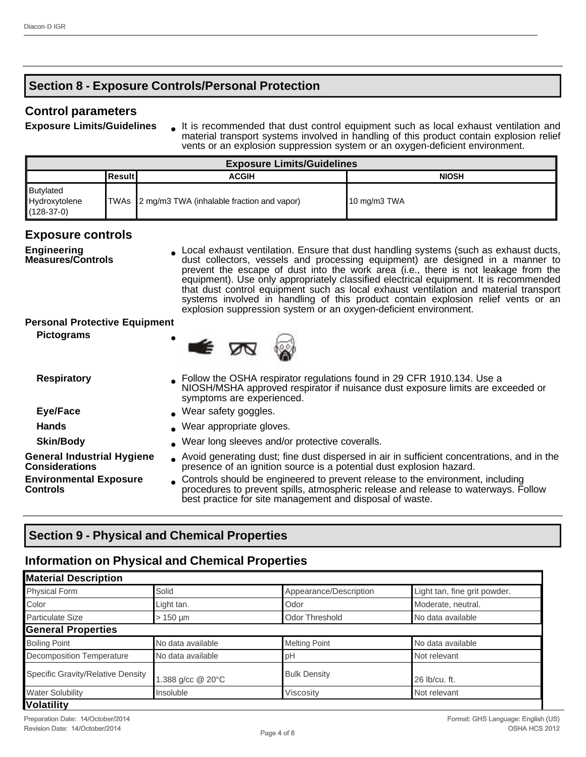## **Section 8 - Exposure Controls/Personal Protection**

### **Control parameters**

**Exposure Limits/Guidelines** lt is recommended that dust control equipment such as local exhaust ventilation and material transport systems involved in handling of this product contain explosion relief vents or an explosion suppression system or an oxygen-deficient environment.

| <b>Exposure Limits/Guidelines</b>          |           |                                                 |                         |
|--------------------------------------------|-----------|-------------------------------------------------|-------------------------|
|                                            | ∣Result I | <b>ACGIH</b>                                    | <b>NIOSH</b>            |
| Butylated<br>Hydroxytolene<br>$(128-37-0)$ |           | TWAs 2 mg/m3 TWA (inhalable fraction and vapor) | $10 \text{ mg/m}$ 3 TWA |

## **Exposure controls**

**Engineering Measures/Controls** Local exhaust ventilation. Ensure that dust handling systems (such as exhaust ducts, dust collectors, vessels and processing equipment) are designed in a manner to prevent the escape of dust into the work area (i.e., there is not leakage from the equipment). Use only appropriately classified electrical equipment. It is recommended that dust control equipment such as local exhaust ventilation and material transport systems involved in handling of this product contain explosion relief vents or an explosion suppression system or an oxygen-deficient environment.

#### **Personal Protective Equipment**

**Pictograms** 



| <b>Respiratory</b>                                         | • Follow the OSHA respirator regulations found in 29 CFR 1910.134. Use a<br>NIOSH/MSHA approved respirator if nuisance dust exposure limits are exceeded or<br>symptoms are experienced.                                         |
|------------------------------------------------------------|----------------------------------------------------------------------------------------------------------------------------------------------------------------------------------------------------------------------------------|
| Eye/Face                                                   | . Wear safety goggles.                                                                                                                                                                                                           |
| <b>Hands</b>                                               | . Wear appropriate gloves.                                                                                                                                                                                                       |
| <b>Skin/Body</b>                                           | . Wear long sleeves and/or protective coveralls.                                                                                                                                                                                 |
| <b>General Industrial Hygiene</b><br><b>Considerations</b> | Avoid generating dust; fine dust dispersed in air in sufficient concentrations, and in the<br>presence of an ignition source is a potential dust explosion hazard.                                                               |
| <b>Environmental Exposure</b><br><b>Controls</b>           | Controls should be engineered to prevent release to the environment, including<br>procedures to prevent spills, atmospheric release and release to waterways. Follow<br>best practice for site management and disposal of waste. |

# **Section 9 - Physical and Chemical Properties**

## **Information on Physical and Chemical Properties**

| <b>Material Description</b>       |                   |                        |                              |
|-----------------------------------|-------------------|------------------------|------------------------------|
| <b>Physical Form</b>              | Solid             | Appearance/Description | Light tan, fine grit powder. |
| Color                             | Light tan.        | Odor                   | Moderate, neutral.           |
| <b>Particulate Size</b>           | $>150 \mu m$      | Odor Threshold         | No data available            |
| <b>General Properties</b>         |                   |                        |                              |
| <b>Boiling Point</b>              | No data available | <b>Melting Point</b>   | No data available            |
| Decomposition Temperature         | No data available | рH                     | Not relevant                 |
| Specific Gravity/Relative Density | 1.388 g/cc @ 20°C | <b>Bulk Density</b>    | 26 lb/cu. ft.                |
| <b>Water Solubility</b>           | Insoluble         | Viscosity              | Not relevant                 |
| <b>Volatility</b>                 |                   |                        |                              |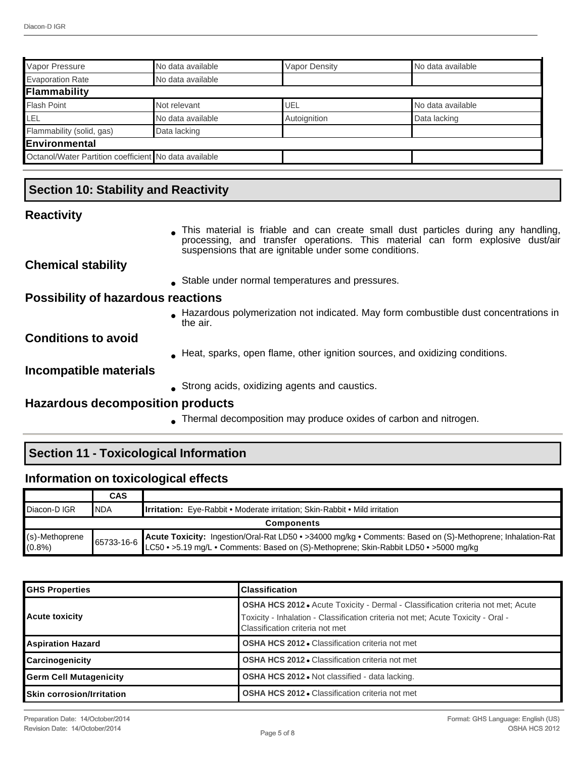| Vapor Pressure                                        | INo data available | Vapor Density | No data available |
|-------------------------------------------------------|--------------------|---------------|-------------------|
| <b>Evaporation Rate</b>                               | No data available  |               |                   |
| Flammability                                          |                    |               |                   |
| <b>Flash Point</b>                                    | Not relevant       | UEL           | No data available |
| LEL                                                   | No data available  | Autoignition  | Data lacking      |
| Flammability (solid, gas)                             | Data lacking       |               |                   |
| <b>IEnvironmental</b>                                 |                    |               |                   |
| Octanol/Water Partition coefficient No data available |                    |               |                   |

## **Section 10: Stability and Reactivity**

#### **Reactivity**

• This material is friable and can create small dust particles during any handling, processing, and transfer operations. This material can form explosive dust/air suspensions that are ignitable under some conditions.

### **Chemical stability**

• Stable under normal temperatures and pressures.

#### **Possibility of hazardous reactions**

■ Hazardous polymerization not indicated. May form combustible dust concentrations in the air.

## **Conditions to avoid**

• Heat, sparks, open flame, other ignition sources, and oxidizing conditions.

#### **Incompatible materials**

• Strong acids, oxidizing agents and caustics.

#### **Hazardous decomposition products**

• Thermal decomposition may produce oxides of carbon and nitrogen.

## **Section 11 - Toxicological Information**

#### **Information on toxicological effects**

|                                | <b>CAS</b> |                                                                                                                                                                                                     |
|--------------------------------|------------|-----------------------------------------------------------------------------------------------------------------------------------------------------------------------------------------------------|
| <b>Diacon-DIGR</b>             | <b>NDA</b> | <b>Irritation:</b> Eye-Rabbit • Moderate irritation; Skin-Rabbit • Mild irritation                                                                                                                  |
| <b>Components</b>              |            |                                                                                                                                                                                                     |
| $(s)$ -Methoprene<br>$(0.8\%)$ | 65733-16-6 | Acute Toxicity: Ingestion/Oral-Rat LD50 • >34000 mg/kg • Comments: Based on (S)-Methoprene; Inhalation-Rat<br>LC50 • >5.19 mg/L • Comments: Based on (S)-Methoprene; Skin-Rabbit LD50 • >5000 mg/kg |

| <b>GHS Properties</b>            | <b>Classification</b>                                                                                                                                                                                          |
|----------------------------------|----------------------------------------------------------------------------------------------------------------------------------------------------------------------------------------------------------------|
| <b>Acute toxicity</b>            | <b>OSHA HCS 2012</b> • Acute Toxicity - Dermal - Classification criteria not met; Acute<br>Toxicity - Inhalation - Classification criteria not met; Acute Toxicity - Oral -<br>Classification criteria not met |
| <b>Aspiration Hazard</b>         | <b>OSHA HCS 2012 • Classification criteria not met</b>                                                                                                                                                         |
| <b>Carcinogenicity</b>           | <b>OSHA HCS 2012 • Classification criteria not met</b>                                                                                                                                                         |
| Germ Cell Mutagenicity           | <b>OSHA HCS 2012</b> • Not classified - data lacking.                                                                                                                                                          |
| <b>Skin corrosion/Irritation</b> | <b>OSHA HCS 2012 • Classification criteria not met</b>                                                                                                                                                         |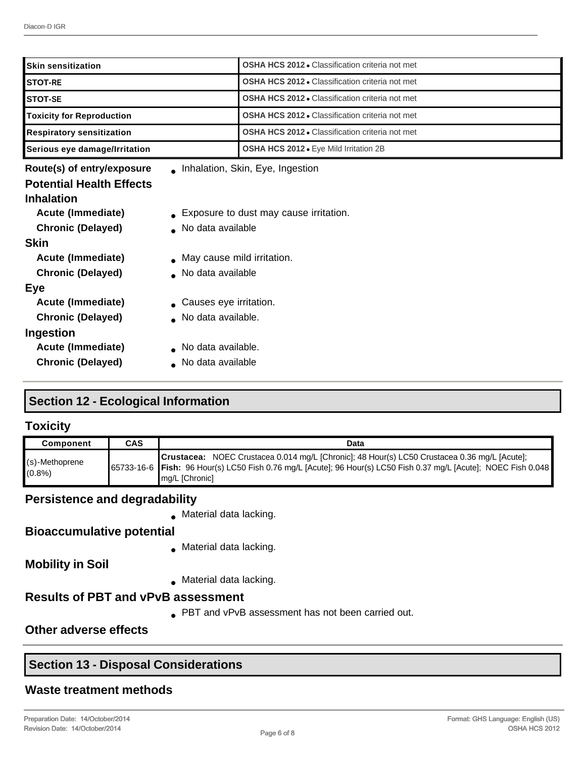| <b>Skin sensitization</b>                                                                                                                                                                                                                   |                                                                                                                                                                      | <b>OSHA HCS 2012 • Classification criteria not met</b> |
|---------------------------------------------------------------------------------------------------------------------------------------------------------------------------------------------------------------------------------------------|----------------------------------------------------------------------------------------------------------------------------------------------------------------------|--------------------------------------------------------|
| <b>STOT-RE</b>                                                                                                                                                                                                                              |                                                                                                                                                                      | OSHA HCS 2012 . Classification criteria not met        |
| <b>STOT-SE</b>                                                                                                                                                                                                                              |                                                                                                                                                                      | <b>OSHA HCS 2012 • Classification criteria not met</b> |
| <b>Toxicity for Reproduction</b>                                                                                                                                                                                                            |                                                                                                                                                                      | <b>OSHA HCS 2012 • Classification criteria not met</b> |
| <b>Respiratory sensitization</b>                                                                                                                                                                                                            |                                                                                                                                                                      | <b>OSHA HCS 2012 • Classification criteria not met</b> |
| Serious eye damage/Irritation                                                                                                                                                                                                               |                                                                                                                                                                      | OSHA HCS 2012 . Eye Mild Irritation 2B                 |
| Route(s) of entry/exposure                                                                                                                                                                                                                  |                                                                                                                                                                      | . Inhalation, Skin, Eye, Ingestion                     |
| <b>Potential Health Effects</b><br><b>Inhalation</b><br><b>Acute (Immediate)</b><br><b>Chronic (Delayed)</b><br><b>Skin</b><br><b>Acute (Immediate)</b><br><b>Chronic (Delayed)</b><br>Eye<br>Acute (Immediate)<br><b>Chronic (Delayed)</b> | • Exposure to dust may cause irritation.<br>No data available<br>• May cause mild irritation.<br>No data available<br>• Causes eye irritation.<br>No data available. |                                                        |
| Ingestion                                                                                                                                                                                                                                   | No data available.                                                                                                                                                   |                                                        |
| <b>Acute (Immediate)</b><br><b>Chronic (Delayed)</b>                                                                                                                                                                                        | No data available                                                                                                                                                    |                                                        |

## **Section 12 - Ecological Information**

## **Toxicity**

| Component               | CAS | Data                                                                                                                                                                                                                                  |
|-------------------------|-----|---------------------------------------------------------------------------------------------------------------------------------------------------------------------------------------------------------------------------------------|
| (s)-Methoprene<br>(0.8% |     | Crustacea: NOEC Crustacea 0.014 mg/L [Chronic]; 48 Hour(s) LC50 Crustacea 0.36 mg/L [Acute];<br>65733-16-6   Fish: 96 Hour(s) LC50 Fish 0.76 mg/L [Acute]; 96 Hour(s) LC50 Fish 0.37 mg/L [Acute]; NOEC Fish 0.048<br>∥mg/L [Chronic] |

## **Persistence and degradability**

● Material data lacking.

## **Bioaccumulative potential**

● Material data lacking.

**Mobility in Soil**

• Material data lacking.

## **Results of PBT and vPvB assessment**

● PBT and vPvB assessment has not been carried out.

## **Other adverse effects**

## **Section 13 - Disposal Considerations**

## **Waste treatment methods**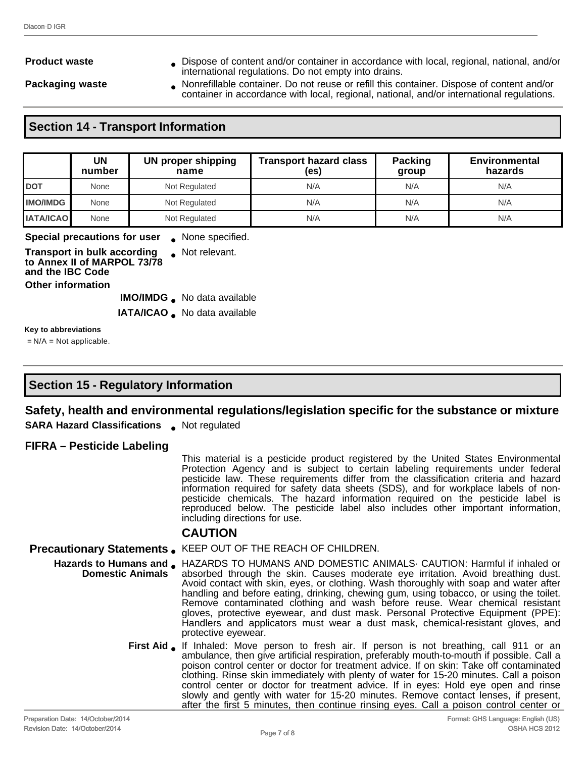**Product waste • Dispose of content and/or container in accordance with local, regional, national, and/or** international regulations. Do not empty into drains.

**Packaging waste • Nonrefillable container. Do not reuse or refill this container. Dispose of content and/or** container in accordance with local, regional, national, and/or international regulations.

## **Section 14 - Transport Information**

|                  | UN<br>number                  | <b>UN proper shipping</b><br>name | <b>Transport hazard class</b><br>(es) | <b>Packing</b><br>group | <b>Environmental</b><br>hazards |
|------------------|-------------------------------|-----------------------------------|---------------------------------------|-------------------------|---------------------------------|
| <b>DOT</b>       | None                          | Not Regulated                     | N/A                                   | N/A                     | N/A                             |
| <b>IMO/IMDG</b>  | None                          | Not Regulated                     | N/A                                   | N/A                     | N/A                             |
| <b>IATA/ICAO</b> | None                          | Not Regulated                     | N/A                                   | N/A                     | N/A                             |
|                  | Connial propositions for user | None consisting                   |                                       |                         |                                 |

#### **Special precautions for user** • None specified.

**Transport in bulk according to Annex II of MARPOL 73/78 and the IBC Code**

● Not relevant.

**Other information**

**IMO/IMDG** No data available

**IATA/ICAO** . No data available

**Key to abbreviations**

 $=N/A = Not$  applicable.

## **Section 15 - Regulatory Information**

## **Safety, health and environmental regulations/legislation specific for the substance or mixture**

**SARA Hazard Classifications** Not regulated

#### **FIFRA – Pesticide Labeling**

This material is a pesticide product registered by the United States Environmental Protection Agency and is subject to certain labeling requirements under federal pesticide law. These requirements differ from the classification criteria and hazard information required for safety data sheets (SDS), and for workplace labels of nonpesticide chemicals. The hazard information required on the pesticide label is reproduced below. The pesticide label also includes other important information, including directions for use.

#### **CAUTION**

#### **Precautionary Statements** ● KEEP OUT OF THE REACH OF CHILDREN.

- Hazards to Humans and **•** HAZARDS TO HUMANS AND DOMESTIC ANIMALS· CAUTION: Harmful if inhaled or **Domestic Animals** absorbed through the skin. Causes moderate eye irritation. Avoid breathing dust. Avoid contact with skin, eyes, or clothing. Wash thoroughly with soap and water after handling and before eating, drinking, chewing gum, using tobacco, or using the toilet. Remove contaminated clothing and wash before reuse. Wear chemical resistant gloves, protective eyewear, and dust mask. Personal Protective Equipment (PPE): Handlers and applicators must wear a dust mask, chemical-resistant gloves, and protective eyewear.
	- First Aid If Inhaled: Move person to fresh air. If person is not breathing, call 911 or an ambulance, then give artificial respiration, preferably mouth-to-mouth if possible. Call a poison control center or doctor for treatment advice. If on skin: Take off contaminated clothing. Rinse skin immediately with plenty of water for 15-20 minutes. Call a poison control center or doctor for treatment advice. If in eyes: Hold eye open and rinse slowly and gently with water for 15-20 minutes. Remove contact lenses, if present, after the first 5 minutes, then continue rinsing eyes. Call a poison control center or